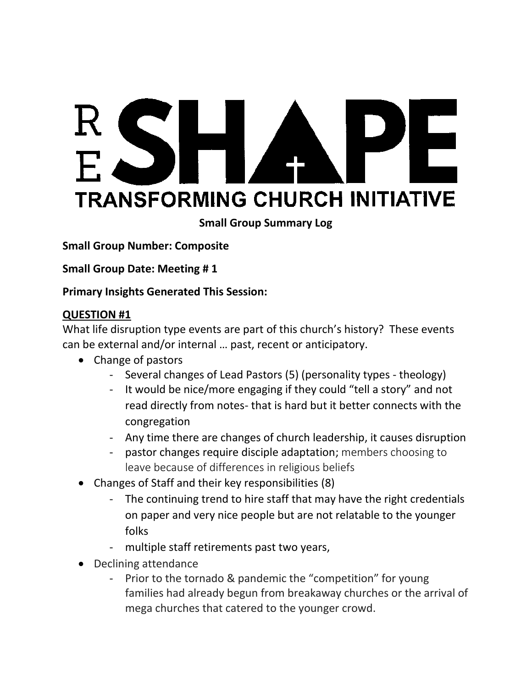# SHA PE **TRANSFORMING CHURCH INITIATIVE**

## **Small Group Summary Log**

**Small Group Number: Composite**

**Small Group Date: Meeting # 1**

#### **Primary Insights Generated This Session:**

#### **QUESTION #1**

What life disruption type events are part of this church's history? These events can be external and/or internal … past, recent or anticipatory.

- Change of pastors
	- Several changes of Lead Pastors (5) (personality types theology)
	- It would be nice/more engaging if they could "tell a story" and not read directly from notes- that is hard but it better connects with the congregation
	- Any time there are changes of church leadership, it causes disruption
	- pastor changes require disciple adaptation; members choosing to leave because of differences in religious beliefs
- Changes of Staff and their key responsibilities (8)
	- The continuing trend to hire staff that may have the right credentials on paper and very nice people but are not relatable to the younger folks
	- multiple staff retirements past two years,
- Declining attendance
	- Prior to the tornado & pandemic the "competition" for young families had already begun from breakaway churches or the arrival of mega churches that catered to the younger crowd.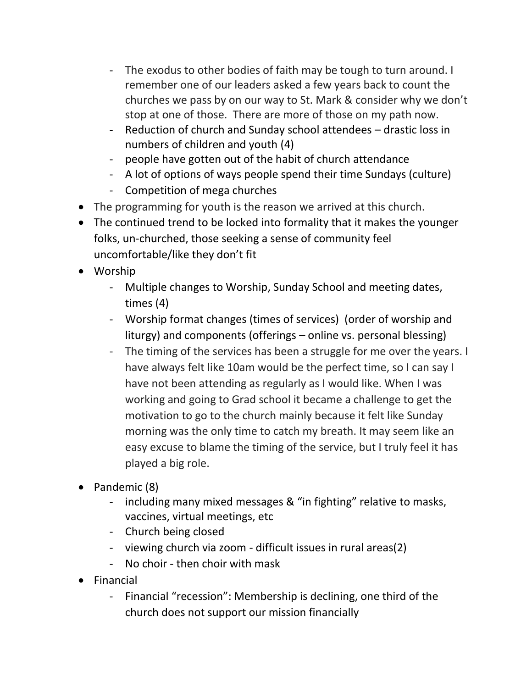- The exodus to other bodies of faith may be tough to turn around. I remember one of our leaders asked a few years back to count the churches we pass by on our way to St. Mark & consider why we don't stop at one of those. There are more of those on my path now.
- Reduction of church and Sunday school attendees drastic loss in numbers of children and youth (4)
- people have gotten out of the habit of church attendance
- A lot of options of ways people spend their time Sundays (culture)
- Competition of mega churches
- The programming for youth is the reason we arrived at this church.
- The continued trend to be locked into formality that it makes the younger folks, un-churched, those seeking a sense of community feel uncomfortable/like they don't fit
- Worship
	- Multiple changes to Worship, Sunday School and meeting dates, times (4)
	- Worship format changes (times of services) (order of worship and liturgy) and components (offerings – online vs. personal blessing)
	- The timing of the services has been a struggle for me over the years. I have always felt like 10am would be the perfect time, so I can say I have not been attending as regularly as I would like. When I was working and going to Grad school it became a challenge to get the motivation to go to the church mainly because it felt like Sunday morning was the only time to catch my breath. It may seem like an easy excuse to blame the timing of the service, but I truly feel it has played a big role.
- Pandemic (8)
	- including many mixed messages & "in fighting" relative to masks, vaccines, virtual meetings, etc
	- Church being closed
	- viewing church via zoom difficult issues in rural areas(2)
	- No choir then choir with mask
- Financial
	- Financial "recession": Membership is declining, one third of the church does not support our mission financially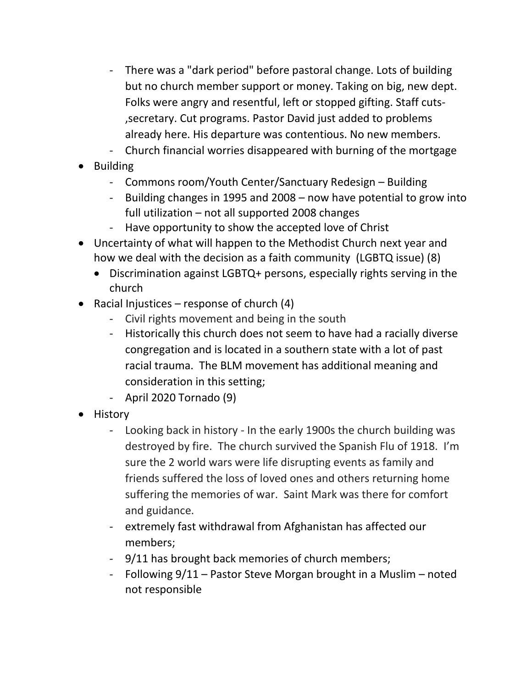- There was a "dark period" before pastoral change. Lots of building but no church member support or money. Taking on big, new dept. Folks were angry and resentful, left or stopped gifting. Staff cuts- ,secretary. Cut programs. Pastor David just added to problems already here. His departure was contentious. No new members.
- Church financial worries disappeared with burning of the mortgage
- Building
	- Commons room/Youth Center/Sanctuary Redesign Building
	- Building changes in 1995 and 2008 now have potential to grow into full utilization – not all supported 2008 changes
	- Have opportunity to show the accepted love of Christ
- Uncertainty of what will happen to the Methodist Church next year and how we deal with the decision as a faith community (LGBTQ issue) (8)
	- Discrimination against LGBTQ+ persons, especially rights serving in the church
- Racial Injustices response of church  $(4)$ 
	- Civil rights movement and being in the south
	- Historically this church does not seem to have had a racially diverse congregation and is located in a southern state with a lot of past racial trauma. The BLM movement has additional meaning and consideration in this setting;
	- April 2020 Tornado (9)
- History
	- Looking back in history In the early 1900s the church building was destroyed by fire. The church survived the Spanish Flu of 1918. I'm sure the 2 world wars were life disrupting events as family and friends suffered the loss of loved ones and others returning home suffering the memories of war. Saint Mark was there for comfort and guidance.
	- extremely fast withdrawal from Afghanistan has affected our members;
	- 9/11 has brought back memories of church members;
	- Following 9/11 Pastor Steve Morgan brought in a Muslim noted not responsible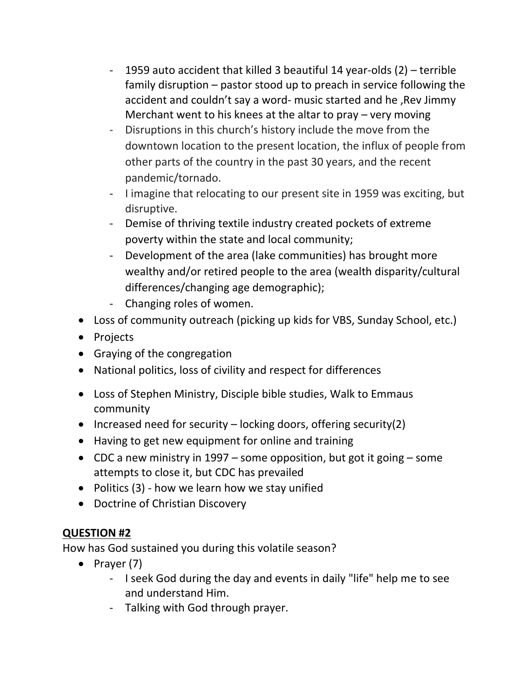- 1959 auto accident that killed 3 beautiful 14 year-olds (2) terrible family disruption – pastor stood up to preach in service following the accident and couldn't say a word- music started and he ,Rev Jimmy Merchant went to his knees at the altar to pray – very moving
- Disruptions in this church's history include the move from the downtown location to the present location, the influx of people from other parts of the country in the past 30 years, and the recent pandemic/tornado.
- I imagine that relocating to our present site in 1959 was exciting, but disruptive.
- Demise of thriving textile industry created pockets of extreme poverty within the state and local community;
- Development of the area (lake communities) has brought more wealthy and/or retired people to the area (wealth disparity/cultural differences/changing age demographic);
- Changing roles of women.
- Loss of community outreach (picking up kids for VBS, Sunday School, etc.)
- Projects
- Graying of the congregation
- National politics, loss of civility and respect for differences
- Loss of Stephen Ministry, Disciple bible studies, Walk to Emmaus community
- Increased need for security locking doors, offering security(2)
- Having to get new equipment for online and training
- CDC a new ministry in 1997 some opposition, but got it going some attempts to close it, but CDC has prevailed
- Politics (3) how we learn how we stay unified
- Doctrine of Christian Discovery

## **QUESTION #2**

How has God sustained you during this volatile season?

- Prayer (7)
	- I seek God during the day and events in daily "life" help me to see and understand Him.
	- Talking with God through prayer.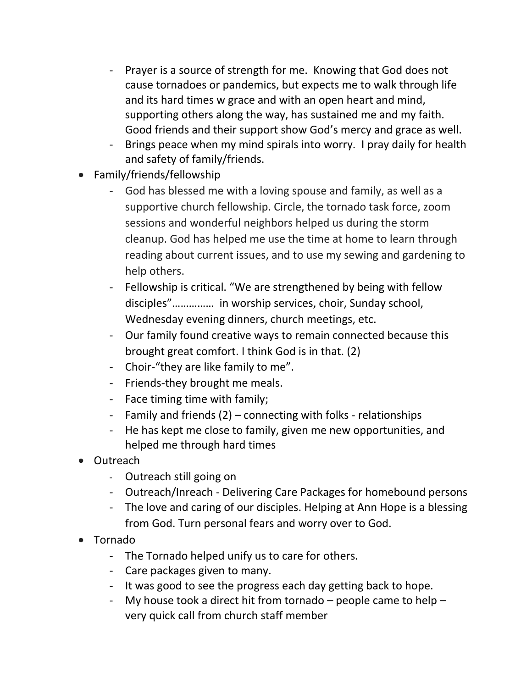- Prayer is a source of strength for me. Knowing that God does not cause tornadoes or pandemics, but expects me to walk through life and its hard times w grace and with an open heart and mind, supporting others along the way, has sustained me and my faith. Good friends and their support show God's mercy and grace as well.
- Brings peace when my mind spirals into worry. I pray daily for health and safety of family/friends.
- Family/friends/fellowship
	- God has blessed me with a loving spouse and family, as well as a supportive church fellowship. Circle, the tornado task force, zoom sessions and wonderful neighbors helped us during the storm cleanup. God has helped me use the time at home to learn through reading about current issues, and to use my sewing and gardening to help others.
	- Fellowship is critical. "We are strengthened by being with fellow disciples"…………… in worship services, choir, Sunday school, Wednesday evening dinners, church meetings, etc.
	- Our family found creative ways to remain connected because this brought great comfort. I think God is in that. (2)
	- Choir-"they are like family to me".
	- Friends-they brought me meals.
	- Face timing time with family;
	- Family and friends (2) connecting with folks relationships
	- He has kept me close to family, given me new opportunities, and helped me through hard times
- Outreach
	- Outreach still going on
	- Outreach/Inreach Delivering Care Packages for homebound persons
	- The love and caring of our disciples. Helping at Ann Hope is a blessing from God. Turn personal fears and worry over to God.
- Tornado
	- The Tornado helped unify us to care for others.
	- Care packages given to many.
	- It was good to see the progress each day getting back to hope.
	- My house took a direct hit from tornado  $-$  people came to help  $$ very quick call from church staff member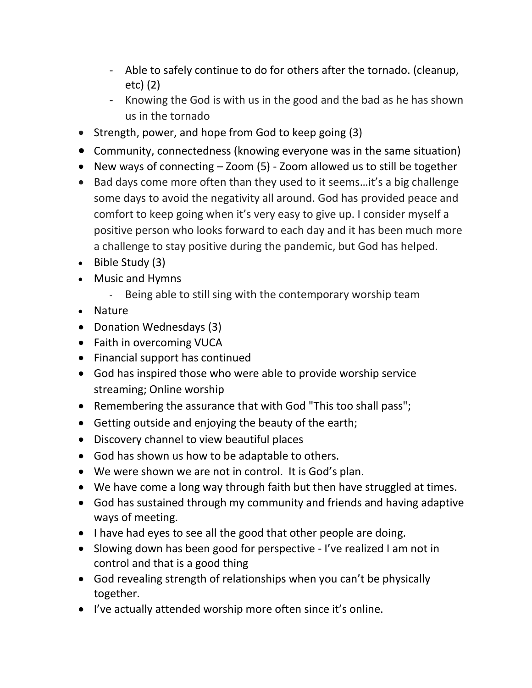- Able to safely continue to do for others after the tornado. (cleanup, etc) (2)
- Knowing the God is with us in the good and the bad as he has shown us in the tornado
- Strength, power, and hope from God to keep going (3)
- Community, connectedness (knowing everyone was in the same situation)
- New ways of connecting Zoom (5) Zoom allowed us to still be together
- Bad days come more often than they used to it seems…it's a big challenge some days to avoid the negativity all around. God has provided peace and comfort to keep going when it's very easy to give up. I consider myself a positive person who looks forward to each day and it has been much more a challenge to stay positive during the pandemic, but God has helped.
- Bible Study (3)
- Music and Hymns
	- Being able to still sing with the contemporary worship team
- Nature
- Donation Wednesdays (3)
- Faith in overcoming VUCA
- Financial support has continued
- God has inspired those who were able to provide worship service streaming; Online worship
- Remembering the assurance that with God "This too shall pass";
- Getting outside and enjoying the beauty of the earth;
- Discovery channel to view beautiful places
- God has shown us how to be adaptable to others.
- We were shown we are not in control. It is God's plan.
- We have come a long way through faith but then have struggled at times.
- God has sustained through my community and friends and having adaptive ways of meeting.
- I have had eyes to see all the good that other people are doing.
- Slowing down has been good for perspective I've realized I am not in control and that is a good thing
- God revealing strength of relationships when you can't be physically together.
- I've actually attended worship more often since it's online.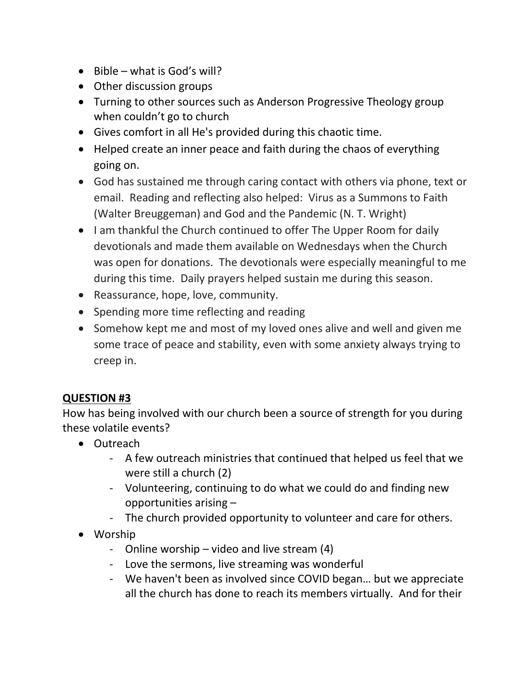- Bible what is God's will?
- Other discussion groups
- Turning to other sources such as Anderson Progressive Theology group when couldn't go to church
- Gives comfort in all He's provided during this chaotic time.
- Helped create an inner peace and faith during the chaos of everything going on.
- God has sustained me through caring contact with others via phone, text or email. Reading and reflecting also helped: Virus as a Summons to Faith (Walter Breuggeman) and God and the Pandemic (N. T. Wright)
- I am thankful the Church continued to offer The Upper Room for daily devotionals and made them available on Wednesdays when the Church was open for donations. The devotionals were especially meaningful to me during this time. Daily prayers helped sustain me during this season.
- Reassurance, hope, love, community.
- Spending more time reflecting and reading
- Somehow kept me and most of my loved ones alive and well and given me some trace of peace and stability, even with some anxiety always trying to creep in.

## **QUESTION #3**

How has being involved with our church been a source of strength for you during these volatile events?

- Outreach
	- A few outreach ministries that continued that helped us feel that we were still a church (2)
	- Volunteering, continuing to do what we could do and finding new opportunities arising –
	- The church provided opportunity to volunteer and care for others.
- Worship
	- Online worship video and live stream (4)
	- Love the sermons, live streaming was wonderful
	- We haven't been as involved since COVID began… but we appreciate all the church has done to reach its members virtually. And for their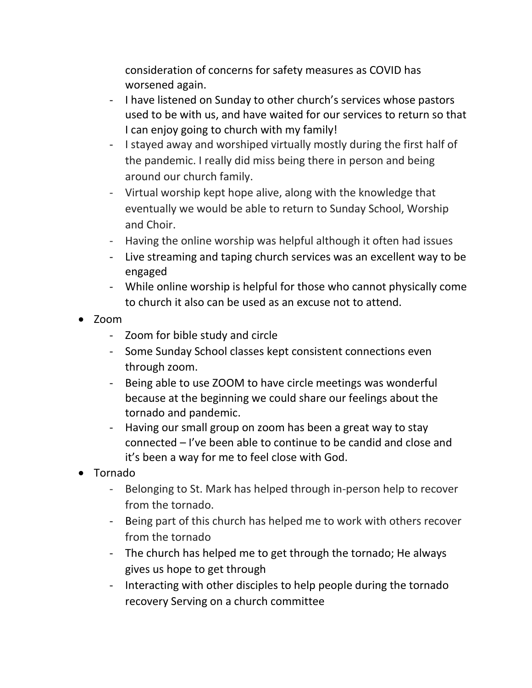consideration of concerns for safety measures as COVID has worsened again.

- I have listened on Sunday to other church's services whose pastors used to be with us, and have waited for our services to return so that I can enjoy going to church with my family!
- I stayed away and worshiped virtually mostly during the first half of the pandemic. I really did miss being there in person and being around our church family.
- Virtual worship kept hope alive, along with the knowledge that eventually we would be able to return to Sunday School, Worship and Choir.
- Having the online worship was helpful although it often had issues
- Live streaming and taping church services was an excellent way to be engaged
- While online worship is helpful for those who cannot physically come to church it also can be used as an excuse not to attend.
- Zoom
	- Zoom for bible study and circle
	- Some Sunday School classes kept consistent connections even through zoom.
	- Being able to use ZOOM to have circle meetings was wonderful because at the beginning we could share our feelings about the tornado and pandemic.
	- Having our small group on zoom has been a great way to stay connected – I've been able to continue to be candid and close and it's been a way for me to feel close with God.
- Tornado
	- Belonging to St. Mark has helped through in-person help to recover from the tornado.
	- Being part of this church has helped me to work with others recover from the tornado
	- The church has helped me to get through the tornado; He always gives us hope to get through
	- Interacting with other disciples to help people during the tornado recovery Serving on a church committee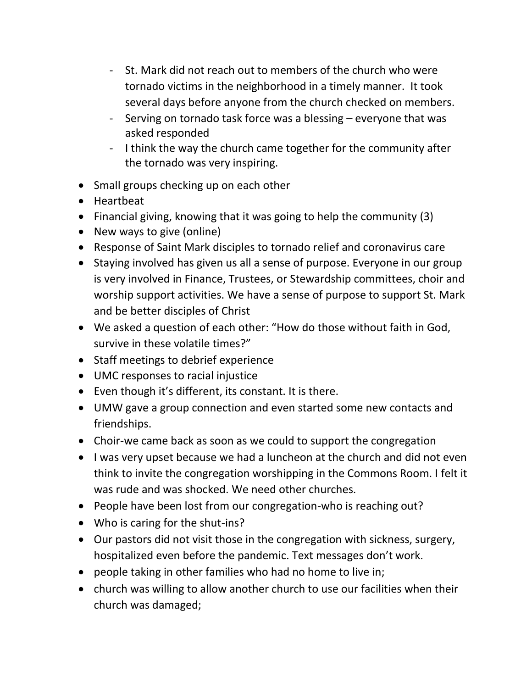- St. Mark did not reach out to members of the church who were tornado victims in the neighborhood in a timely manner. It took several days before anyone from the church checked on members.
- Serving on tornado task force was a blessing everyone that was asked responded
- I think the way the church came together for the community after the tornado was very inspiring.
- Small groups checking up on each other
- Heartbeat
- Financial giving, knowing that it was going to help the community (3)
- New ways to give (online)
- Response of Saint Mark disciples to tornado relief and coronavirus care
- Staying involved has given us all a sense of purpose. Everyone in our group is very involved in Finance, Trustees, or Stewardship committees, choir and worship support activities. We have a sense of purpose to support St. Mark and be better disciples of Christ
- We asked a question of each other: "How do those without faith in God, survive in these volatile times?"
- Staff meetings to debrief experience
- UMC responses to racial injustice
- Even though it's different, its constant. It is there.
- UMW gave a group connection and even started some new contacts and friendships.
- Choir-we came back as soon as we could to support the congregation
- I was very upset because we had a luncheon at the church and did not even think to invite the congregation worshipping in the Commons Room. I felt it was rude and was shocked. We need other churches.
- People have been lost from our congregation-who is reaching out?
- Who is caring for the shut-ins?
- Our pastors did not visit those in the congregation with sickness, surgery, hospitalized even before the pandemic. Text messages don't work.
- people taking in other families who had no home to live in;
- church was willing to allow another church to use our facilities when their church was damaged;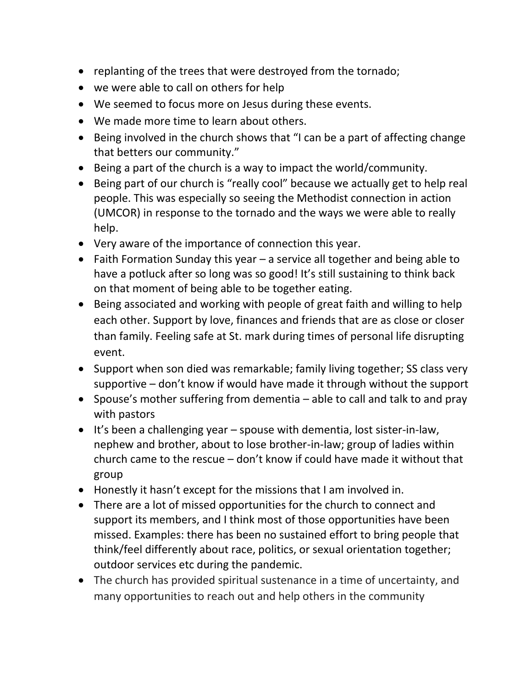- replanting of the trees that were destroyed from the tornado;
- we were able to call on others for help
- We seemed to focus more on Jesus during these events.
- We made more time to learn about others.
- Being involved in the church shows that "I can be a part of affecting change that betters our community."
- Being a part of the church is a way to impact the world/community.
- Being part of our church is "really cool" because we actually get to help real people. This was especially so seeing the Methodist connection in action (UMCOR) in response to the tornado and the ways we were able to really help.
- Very aware of the importance of connection this year.
- Faith Formation Sunday this year a service all together and being able to have a potluck after so long was so good! It's still sustaining to think back on that moment of being able to be together eating.
- Being associated and working with people of great faith and willing to help each other. Support by love, finances and friends that are as close or closer than family. Feeling safe at St. mark during times of personal life disrupting event.
- Support when son died was remarkable; family living together; SS class very supportive – don't know if would have made it through without the support
- Spouse's mother suffering from dementia able to call and talk to and pray with pastors
- It's been a challenging year spouse with dementia, lost sister-in-law, nephew and brother, about to lose brother-in-law; group of ladies within church came to the rescue – don't know if could have made it without that group
- Honestly it hasn't except for the missions that I am involved in.
- There are a lot of missed opportunities for the church to connect and support its members, and I think most of those opportunities have been missed. Examples: there has been no sustained effort to bring people that think/feel differently about race, politics, or sexual orientation together; outdoor services etc during the pandemic.
- The church has provided spiritual sustenance in a time of uncertainty, and many opportunities to reach out and help others in the community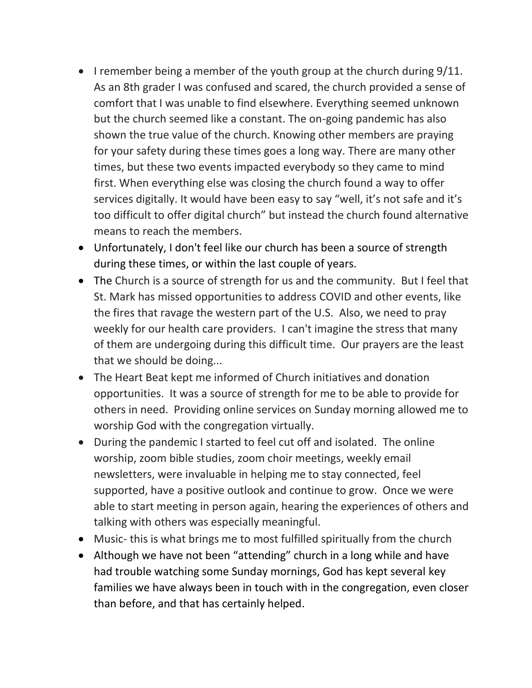- I remember being a member of the youth group at the church during 9/11. As an 8th grader I was confused and scared, the church provided a sense of comfort that I was unable to find elsewhere. Everything seemed unknown but the church seemed like a constant. The on-going pandemic has also shown the true value of the church. Knowing other members are praying for your safety during these times goes a long way. There are many other times, but these two events impacted everybody so they came to mind first. When everything else was closing the church found a way to offer services digitally. It would have been easy to say "well, it's not safe and it's too difficult to offer digital church" but instead the church found alternative means to reach the members.
- Unfortunately, I don't feel like our church has been a source of strength during these times, or within the last couple of years.
- The Church is a source of strength for us and the community. But I feel that St. Mark has missed opportunities to address COVID and other events, like the fires that ravage the western part of the U.S. Also, we need to pray weekly for our health care providers. I can't imagine the stress that many of them are undergoing during this difficult time. Our prayers are the least that we should be doing...
- The Heart Beat kept me informed of Church initiatives and donation opportunities. It was a source of strength for me to be able to provide for others in need. Providing online services on Sunday morning allowed me to worship God with the congregation virtually.
- During the pandemic I started to feel cut off and isolated. The online worship, zoom bible studies, zoom choir meetings, weekly email newsletters, were invaluable in helping me to stay connected, feel supported, have a positive outlook and continue to grow. Once we were able to start meeting in person again, hearing the experiences of others and talking with others was especially meaningful.
- Music- this is what brings me to most fulfilled spiritually from the church
- Although we have not been "attending" church in a long while and have had trouble watching some Sunday mornings, God has kept several key families we have always been in touch with in the congregation, even closer than before, and that has certainly helped.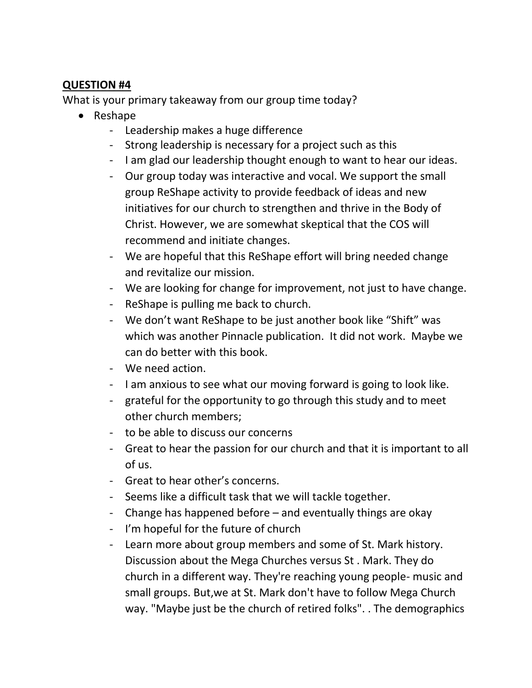#### **QUESTION #4**

What is your primary takeaway from our group time today?

- Reshape
	- Leadership makes a huge difference
	- Strong leadership is necessary for a project such as this
	- I am glad our leadership thought enough to want to hear our ideas.
	- Our group today was interactive and vocal. We support the small group ReShape activity to provide feedback of ideas and new initiatives for our church to strengthen and thrive in the Body of Christ. However, we are somewhat skeptical that the COS will recommend and initiate changes.
	- We are hopeful that this ReShape effort will bring needed change and revitalize our mission.
	- We are looking for change for improvement, not just to have change.
	- ReShape is pulling me back to church.
	- We don't want ReShape to be just another book like "Shift" was which was another Pinnacle publication. It did not work. Maybe we can do better with this book.
	- We need action.
	- I am anxious to see what our moving forward is going to look like.
	- grateful for the opportunity to go through this study and to meet other church members;
	- to be able to discuss our concerns
	- Great to hear the passion for our church and that it is important to all of us.
	- Great to hear other's concerns.
	- Seems like a difficult task that we will tackle together.
	- Change has happened before and eventually things are okay
	- I'm hopeful for the future of church
	- Learn more about group members and some of St. Mark history. Discussion about the Mega Churches versus St . Mark. They do church in a different way. They're reaching young people- music and small groups. But,we at St. Mark don't have to follow Mega Church way. "Maybe just be the church of retired folks". . The demographics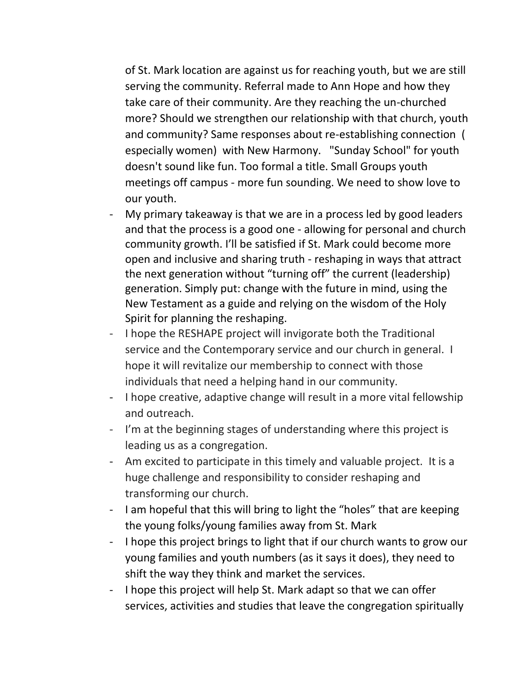of St. Mark location are against us for reaching youth, but we are still serving the community. Referral made to Ann Hope and how they take care of their community. Are they reaching the un-churched more? Should we strengthen our relationship with that church, youth and community? Same responses about re-establishing connection ( especially women) with New Harmony. "Sunday School" for youth doesn't sound like fun. Too formal a title. Small Groups youth meetings off campus - more fun sounding. We need to show love to our youth.

- My primary takeaway is that we are in a process led by good leaders and that the process is a good one - allowing for personal and church community growth. I'll be satisfied if St. Mark could become more open and inclusive and sharing truth - reshaping in ways that attract the next generation without "turning off" the current (leadership) generation. Simply put: change with the future in mind, using the New Testament as a guide and relying on the wisdom of the Holy Spirit for planning the reshaping.
- I hope the RESHAPE project will invigorate both the Traditional service and the Contemporary service and our church in general. I hope it will revitalize our membership to connect with those individuals that need a helping hand in our community.
- I hope creative, adaptive change will result in a more vital fellowship and outreach.
- I'm at the beginning stages of understanding where this project is leading us as a congregation.
- Am excited to participate in this timely and valuable project. It is a huge challenge and responsibility to consider reshaping and transforming our church.
- I am hopeful that this will bring to light the "holes" that are keeping the young folks/young families away from St. Mark
- I hope this project brings to light that if our church wants to grow our young families and youth numbers (as it says it does), they need to shift the way they think and market the services.
- I hope this project will help St. Mark adapt so that we can offer services, activities and studies that leave the congregation spiritually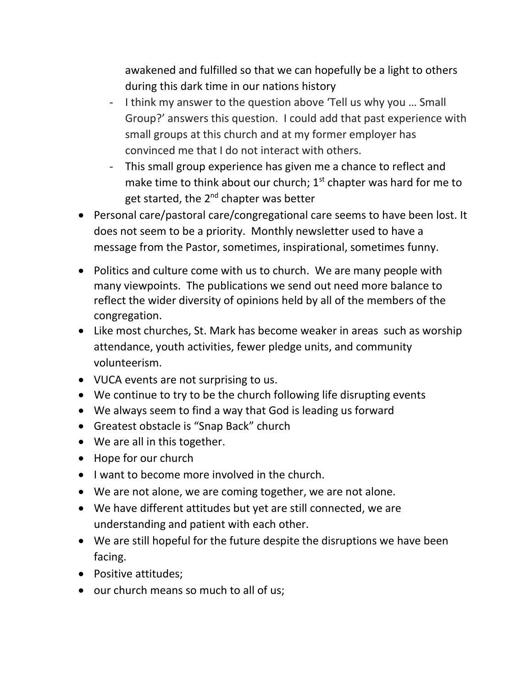awakened and fulfilled so that we can hopefully be a light to others during this dark time in our nations history

- I think my answer to the question above 'Tell us why you … Small Group?' answers this question. I could add that past experience with small groups at this church and at my former employer has convinced me that I do not interact with others.
- This small group experience has given me a chance to reflect and make time to think about our church;  $1<sup>st</sup>$  chapter was hard for me to get started, the 2<sup>nd</sup> chapter was better
- Personal care/pastoral care/congregational care seems to have been lost. It does not seem to be a priority. Monthly newsletter used to have a message from the Pastor, sometimes, inspirational, sometimes funny.
- Politics and culture come with us to church. We are many people with many viewpoints. The publications we send out need more balance to reflect the wider diversity of opinions held by all of the members of the congregation.
- Like most churches, St. Mark has become weaker in areas such as worship attendance, youth activities, fewer pledge units, and community volunteerism.
- VUCA events are not surprising to us.
- We continue to try to be the church following life disrupting events
- We always seem to find a way that God is leading us forward
- Greatest obstacle is "Snap Back" church
- We are all in this together.
- Hope for our church
- I want to become more involved in the church.
- We are not alone, we are coming together, we are not alone.
- We have different attitudes but yet are still connected, we are understanding and patient with each other.
- We are still hopeful for the future despite the disruptions we have been facing.
- Positive attitudes;
- our church means so much to all of us;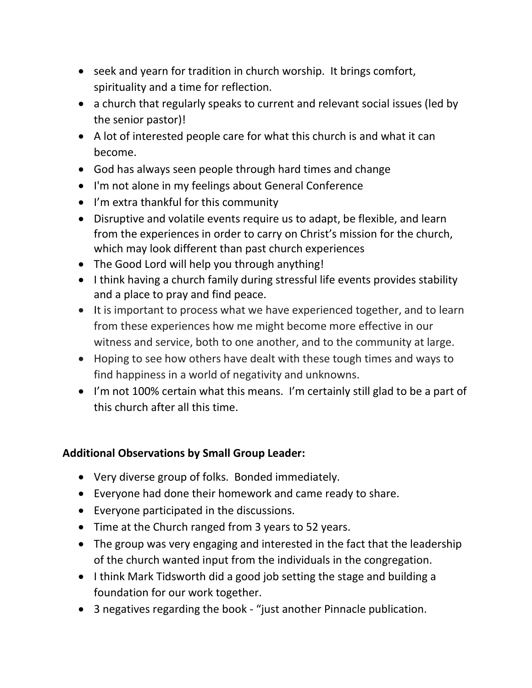- seek and yearn for tradition in church worship. It brings comfort, spirituality and a time for reflection.
- a church that regularly speaks to current and relevant social issues (led by the senior pastor)!
- A lot of interested people care for what this church is and what it can become.
- God has always seen people through hard times and change
- I'm not alone in my feelings about General Conference
- I'm extra thankful for this community
- Disruptive and volatile events require us to adapt, be flexible, and learn from the experiences in order to carry on Christ's mission for the church, which may look different than past church experiences
- The Good Lord will help you through anything!
- I think having a church family during stressful life events provides stability and a place to pray and find peace.
- It is important to process what we have experienced together, and to learn from these experiences how me might become more effective in our witness and service, both to one another, and to the community at large.
- Hoping to see how others have dealt with these tough times and ways to find happiness in a world of negativity and unknowns.
- I'm not 100% certain what this means. I'm certainly still glad to be a part of this church after all this time.

## **Additional Observations by Small Group Leader:**

- Very diverse group of folks. Bonded immediately.
- Everyone had done their homework and came ready to share.
- Everyone participated in the discussions.
- Time at the Church ranged from 3 years to 52 years.
- The group was very engaging and interested in the fact that the leadership of the church wanted input from the individuals in the congregation.
- I think Mark Tidsworth did a good job setting the stage and building a foundation for our work together.
- 3 negatives regarding the book "just another Pinnacle publication.